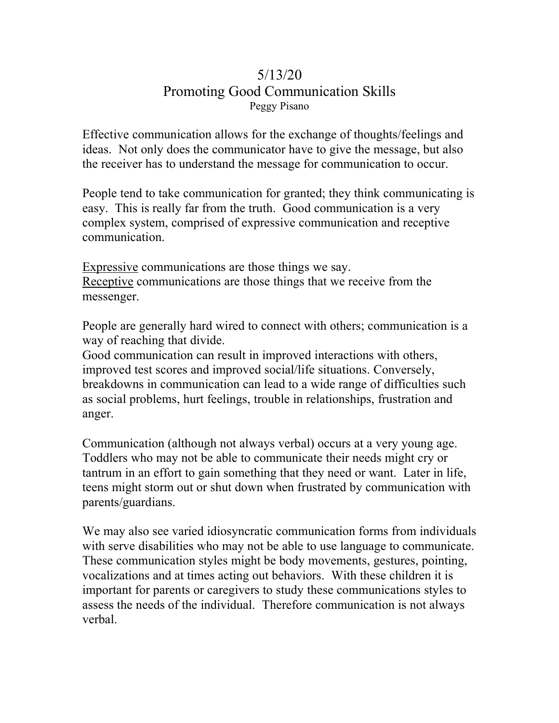## 5/13/20 Promoting Good Communication Skills Peggy Pisano

Effective communication allows for the exchange of thoughts/feelings and ideas. Not only does the communicator have to give the message, but also the receiver has to understand the message for communication to occur.

People tend to take communication for granted; they think communicating is easy. This is really far from the truth. Good communication is a very complex system, comprised of expressive communication and receptive communication.

Expressive communications are those things we say. Receptive communications are those things that we receive from the messenger.

People are generally hard wired to connect with others; communication is a way of reaching that divide.

Good communication can result in improved interactions with others, improved test scores and improved social/life situations. Conversely, breakdowns in communication can lead to a wide range of difficulties such as social problems, hurt feelings, trouble in relationships, frustration and anger.

Communication (although not always verbal) occurs at a very young age. Toddlers who may not be able to communicate their needs might cry or tantrum in an effort to gain something that they need or want. Later in life, teens might storm out or shut down when frustrated by communication with parents/guardians.

We may also see varied idiosyncratic communication forms from individuals with serve disabilities who may not be able to use language to communicate. These communication styles might be body movements, gestures, pointing, vocalizations and at times acting out behaviors. With these children it is important for parents or caregivers to study these communications styles to assess the needs of the individual. Therefore communication is not always verbal.